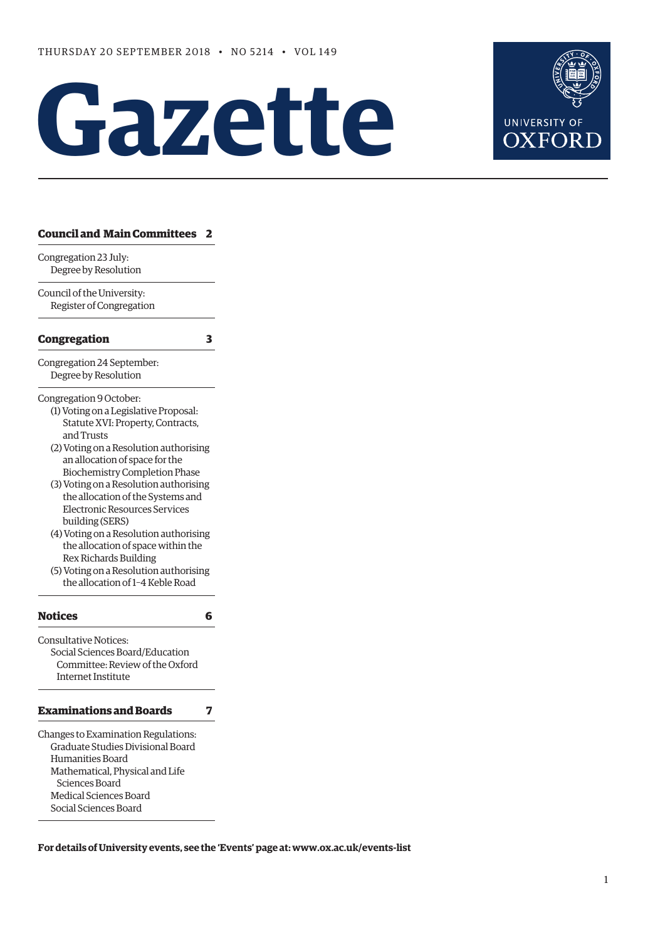# Gazette



## **[Council and Main Committees 2](#page-1-0)** Congregation 23 July: Degree by Resolution Council of the University: Register of Congregation **[Congregation 3](#page-2-0)** Congregation 24 September: Degree by Resolution Congregation 9 October: (1) Voting on a Legislative Proposal: Statute XVI: Property, Contracts, and Trusts (2) Voting on a Resolution authorising an allocation of space for the Biochemistry Completion Phase (3) Voting on a Resolution authorising the allocation of the Systems and Electronic Resources Services building (SERS) (4) Voting on a Resolution authorising the allocation of space within the Rex Richards Building (5) Voting on a Resolution authorising the allocation of 1–4 Keble Road **[Notices 6](#page-5-0)** Consultative Notices: Social Sciences Board/Education Committee: Review of the Oxford Internet Institute **[Examinations and Boards 7](#page-6-0)** Changes to Examination Regulations: Graduate Studies Divisional Board Humanities Board Mathematical, Physical and Life

 Sciences Board Medical Sciences Board Social Sciences Board

**For details of University events, see the 'Events' page at: [www.ox.ac.uk/events-list](http://www.ox.ac.uk/events-list)**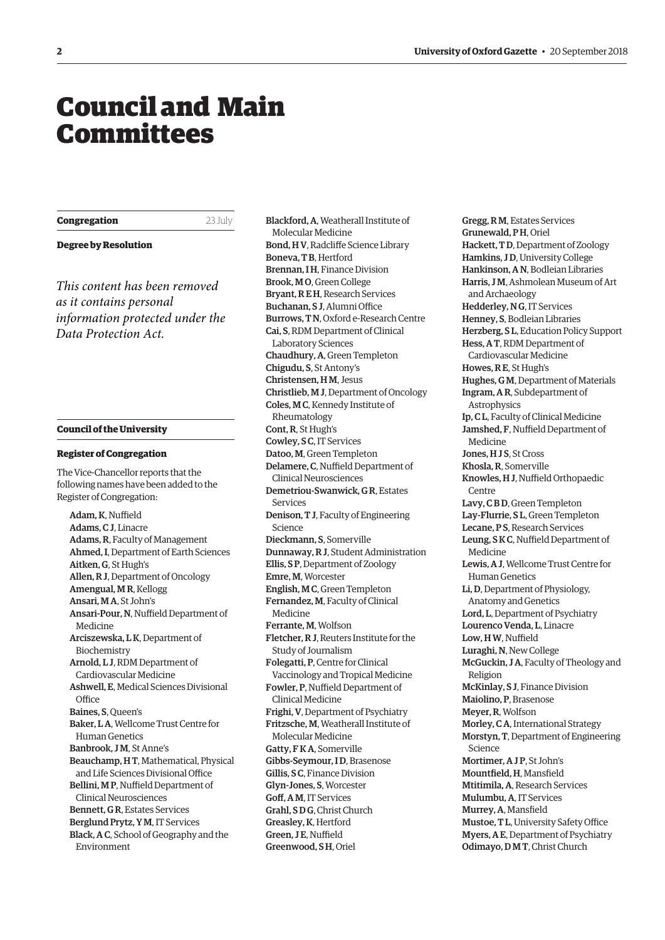## <span id="page-1-0"></span>Council and Main Committees

**Congregation** 23 July

#### **Degree by Resolution**

*This content has been removed as it contains personal information protected under the Data Protection Act.*

#### **Council of the University**

#### **Register of Congregation**

The Vice-Chancellor reports that the following names have been added to the Register of Congregation:

Adam, K, Nuffield Adams, C J, Linacre Adams, R, Faculty of Management Ahmed, I, Department of Earth Sciences Aitken, G, St Hugh's Allen, R J, Department of Oncology Amengual, M R, Kellogg Ansari, M A, St John's Ansari-Pour, N, Nuffield Department of Medicine Arciszewska, L K, Department of Biochemistry Arnold, L J, RDM Department of Cardiovascular Medicine Ashwell, E, Medical Sciences Divisional **Office** Baines, S, Queen's Baker, L A, Wellcome Trust Centre for Human Genetics Banbrook, J M, St Anne's Beauchamp, H T, Mathematical, Physical and Life Sciences Divisional Office Bellini, M P, Nuffield Department of Clinical Neurosciences Bennett, G R, Estates Services Berglund Prytz, Y M, IT Services Black, A C, School of Geography and the Environment

Blackford, A, Weatherall Institute of Molecular Medicine Bond, H V, Radcliffe Science Library Boneva, T B, Hertford Brennan, I H, Finance Division Brook, M O, Green College Bryant, R E H, Research Services Buchanan, S J, Alumni Office Burrows, T N, Oxford e-Research Centre Cai, S, RDM Department of Clinical Laboratory Sciences Chaudhury, A, Green Templeton Chigudu, S, St Antony's Christensen, HM, Jesus Christlieb, M J, Department of Oncology Coles, M C, Kennedy Institute of Rheumatology Cont, R, St Hugh's Cowley, S C, IT Services Datoo, M, Green Templeton Delamere, C, Nuffield Department of Clinical Neurosciences Demetriou-Swanwick, G R, Estates Services Denison, T J, Faculty of Engineering Science Dieckmann, S, Somerville Dunnaway, R J, Student Administration Ellis, S P, Department of Zoology Emre, M, Worcester English, M C, Green Templeton Fernandez, M, Faculty of Clinical Medicine Ferrante, M, Wolfson Fletcher, R J, Reuters Institute for the Study of Journalism Folegatti, P, Centre for Clinical Vaccinology and Tropical Medicine Fowler, P, Nuffield Department of Clinical Medicine Frighi, V, Department of Psychiatry Fritzsche, M, Weatherall Institute of Molecular Medicine Gatty, F K A, Somerville Gibbs-Seymour, I D, Brasenose Gillis, S C, Finance Division Glyn-Jones, S, Worcester Goff, A M, IT Services Grahl, S D G, Christ Church Greasley, K, Hertford Green, J E, Nuffield

Greenwood, S H, Oriel

Gregg, R M, Estates Services Grunewald, P H, Oriel Hackett, T D, Department of Zoology Hamkins, J D, University College Hankinson, A N, Bodleian Libraries Harris, J M, Ashmolean Museum of Art and Archaeology Hedderley, N G, IT Services Henney, S, Bodleian Libraries Herzberg, S L, Education Policy Support Hess, A T, RDM Department of Cardiovascular Medicine Howes, R E, St Hugh's Hughes, G M, Department of Materials Ingram, A R, Subdepartment of **Astrophysics** Ip, C L, Faculty of Clinical Medicine Jamshed, F, Nuffield Department of Medicine Jones, HJS, St Cross Khosla, R, Somerville Knowles, H J, Nuffield Orthopaedic Centre Lavy, C B D, Green Templeton Lay-Flurrie, S L, Green Templeton Lecane, P S, Research Services Leung, S K C, Nuffield Department of Medicine Lewis, A J, Wellcome Trust Centre for Human Genetics Li, D, Department of Physiology, Anatomy and Genetics Lord, L, Department of Psychiatry Lourenco Venda, L, Linacre Low, H W, Nuffield Luraghi, N, New College McGuckin, J A, Faculty of Theology and Religion McKinlay, S J, Finance Division Maiolino, P, Brasenose Meyer, R, Wolfson Morley, C A, International Strategy Morstyn, T, Department of Engineering Science Mortimer, A J P, St John's Mountfield, H, Mansfield Mtitimila, A, Research Services Mulumbu, A, IT Services Murrey, A, Mansfield Mustoe, T L, University Safety Office Myers, A E, Department of Psychiatry Odimayo, D M T, Christ Church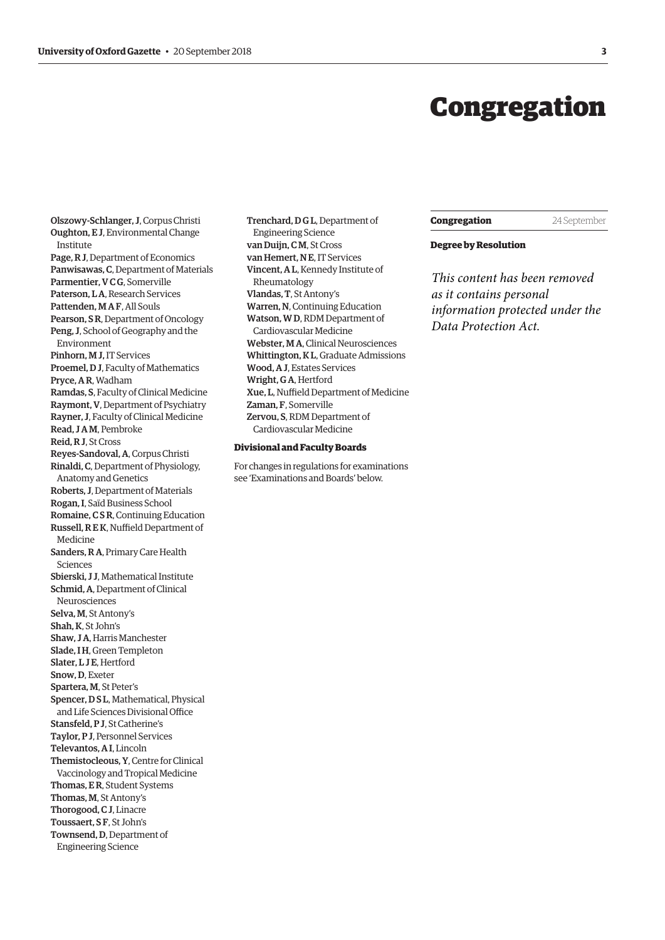## Congregation

<span id="page-2-0"></span>Olszowy-Schlanger, J, Corpus Christi Oughton, E J, Environmental Change Institute Page, R J, Department of Economics Panwisawas, C, Department of Materials Parmentier, V C G, Somerville Paterson, L A, Research Services Pattenden, M A F, All Souls Pearson, S R, Department of Oncology Peng, J, School of Geography and the Environment Pinhorn, M J, IT Services Proemel, D J, Faculty of Mathematics Pryce, A R, Wadham Ramdas, S, Faculty of Clinical Medicine Raymont, V, Department of Psychiatry Rayner, J, Faculty of Clinical Medicine Read, J A M, Pembroke Reid, R J, St Cross Reyes-Sandoval, A, Corpus Christi Rinaldi, C, Department of Physiology, Anatomy and Genetics Roberts, J, Department of Materials Rogan, I, Saïd Business School Romaine, C S R, Continuing Education Russell, R E K, Nuffield Department of Medicine Sanders, R A, Primary Care Health Sciences Sbierski, J J, Mathematical Institute Schmid, A, Department of Clinical Neurosciences Selva, M, St Antony's Shah, K, St John's Shaw, J A, Harris Manchester Slade, I H, Green Templeton Slater, LJE, Hertford Snow, D, Exeter Spartera, M, St Peter's Spencer, D S L, Mathematical, Physical and Life Sciences Divisional Office Stansfeld, P J, St Catherine's Taylor, P J, Personnel Services Televantos, A I, Lincoln Themistocleous, Y, Centre for Clinical Vaccinology and Tropical Medicine Thomas, E R, Student Systems Thomas, M, St Antony's Thorogood, C J, Linacre Toussaert, SF, St John's Townsend, D, Department of Engineering Science

Trenchard, D G L, Department of Engineering Science van Duijn, C<sub>M</sub>, St Cross van Hemert, N E, IT Services Vincent, A L, Kennedy Institute of Rheumatology Vlandas, T, St Antony's Warren, N, Continuing Education Watson, W D, RDM Department of Cardiovascular Medicine Webster, M A, Clinical Neurosciences Whittington, K L, Graduate Admissions Wood, A J, Estates Services Wright, G A, Hertford Xue, L, Nuffield Department of Medicine Zaman, F, Somerville Zervou, S, RDM Department of Cardiovascular Medicine

#### **Divisional and Faculty Boards**

For changes in regulations for examinations see 'Examinations and Boards' below.

#### **Congregation** 24 September

#### **Degree by Resolution**

*This content has been removed as it contains personal information protected under the Data Protection Act.*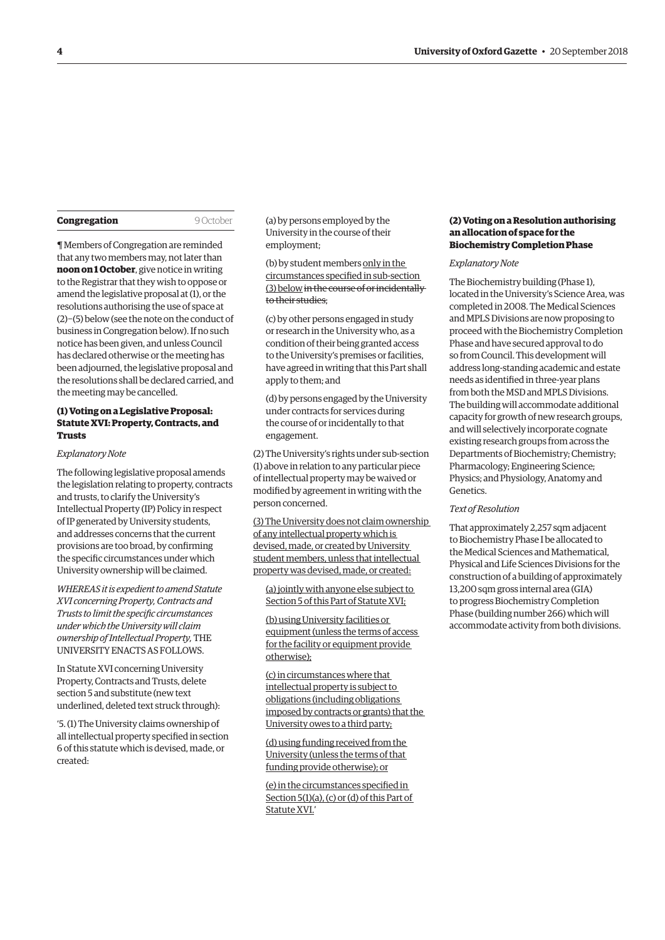| Congregation |
|--------------|
|--------------|

9 October

¶ Members of Congregation are reminded that any two members may, not later than **noon on 1 October**, give notice in writing to the Registrar that they wish to oppose or amend the legislative proposal at (1), or the resolutions authorising the use of space at (2)−(5) below (see the note on the conduct of business in Congregation below). If no such notice has been given, and unless Council has declared otherwise or the meeting has been adjourned, the legislative proposal and the resolutions shall be declared carried, and the meeting may be cancelled.

#### **(1) Voting on a Legislative Proposal: Statute XVI: Property, Contracts, and Trusts**

#### *Explanatory Note*

The following legislative proposal amends the legislation relating to property, contracts and trusts, to clarify the University's Intellectual Property (IP) Policy in respect of IP generated by University students, and addresses concerns that the current provisions are too broad, by confirming the specific circumstances under which University ownership will be claimed.

*WHEREAS it is expedient to amend Statute XVI concerning Property, Contracts and Trusts to limit the specific circumstances under which the University will claim ownership of Intellectual Property,* THE UNIVERSITY ENACTS AS FOLLOWS.

In Statute XVI concerning University Property, Contracts and Trusts, delete section 5 and substitute (new text underlined, deleted text struck through):

'5. (1) The University claims ownership of all intellectual property specified in section 6 of this statute which is devised, made, or created:

(a) by persons employed by the University in the course of their employment;

(b) by student members only in the circumstances specified in sub-section (3) below in the course of or incidentally to their studies;

(c) by other persons engaged in study or research in the University who, as a condition of their being granted access to the University's premises or facilities, have agreed in writing that this Part shall apply to them; and

(d) by persons engaged by the University under contracts for services during the course of or incidentally to that engagement.

(2) The University's rights under sub-section (1) above in relation to any particular piece of intellectual property may be waived or modified by agreement in writing with the person concerned.

(3) The University does not claim ownership of any intellectual property which is devised, made, or created by University student members, unless that intellectual property was devised, made, or created:

(a) jointly with anyone else subject to Section 5 of this Part of Statute XVI;

(b) using University facilities or equipment (unless the terms of access for the facility or equipment provide otherwise);

(c) in circumstances where that intellectual property is subject to obligations (including obligations imposed by contracts or grants) that the University owes to a third party;

(d) using funding received from the University (unless the terms of that funding provide otherwise); or

(e) in the circumstances specified in Section 5(1)(a), (c) or (d) of this Part of Statute XVI.'

#### **(2) Voting on a Resolution authorising an allocation of space for the Biochemistry Completion Phase**

#### *Explanatory Note*

The Biochemistry building (Phase 1), located in the University's Science Area, was completed in 2008. The Medical Sciences and MPLS Divisions are now proposing to proceed with the Biochemistry Completion Phase and have secured approval to do so from Council. This development will address long-standing academic and estate needs as identified in three-year plans from both the MSD and MPLS Divisions. The building will accommodate additional capacity for growth of new research groups, and will selectively incorporate cognate existing research groups from across the Departments of Biochemistry; Chemistry; Pharmacology; Engineering Science; Physics; and Physiology, Anatomy and Genetics.

*Text of Resolution*

That approximately 2,257 sqm adjacent to Biochemistry Phase I be allocated to the Medical Sciences and Mathematical, Physical and Life Sciences Divisions for the construction of a building of approximately 13,200 sqm gross internal area (GIA) to progress Biochemistry Completion Phase (building number 266) which will accommodate activity from both divisions.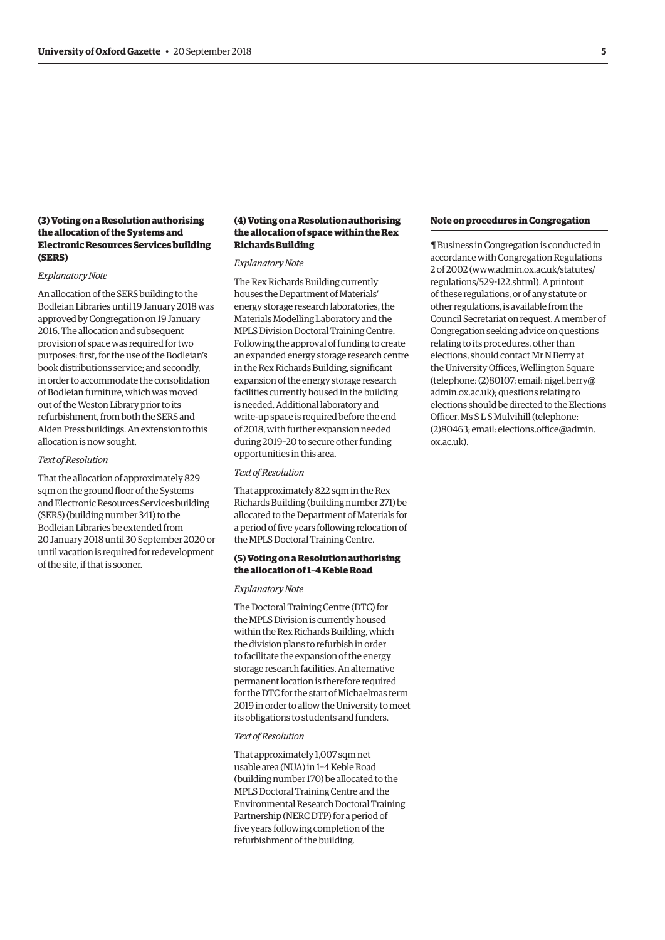#### **(3) Voting on a Resolution authorising the allocation of the Systems and Electronic Resources Services building (SERS)**

#### *Explanatory Note*

An allocation of the SERS building to the Bodleian Libraries until 19 January 2018 was approved by Congregation on 19 January 2016. The allocation and subsequent provision of space was required for two purposes: first, for the use of the Bodleian's book distributions service; and secondly, in order to accommodate the consolidation of Bodleian furniture, which was moved out of the Weston Library prior to its refurbishment, from both the SERS and Alden Press buildings. An extension to this allocation is now sought.

#### *Text of Resolution*

That the allocation of approximately 829 sqm on the ground floor of the Systems and Electronic Resources Services building (SERS) (building number 341) to the Bodleian Libraries be extended from 20 January 2018 until 30 September 2020 or until vacation is required for redevelopment of the site, if that is sooner.

#### **(4) Voting on a Resolution authorising the allocation of space within the Rex Richards Building**

#### *Explanatory Note*

The Rex Richards Building currently houses the Department of Materials' energy storage research laboratories, the Materials Modelling Laboratory and the MPLS Division Doctoral Training Centre. Following the approval of funding to create an expanded energy storage research centre in the Rex Richards Building, significant expansion of the energy storage research facilities currently housed in the building is needed. Additional laboratory and write-up space is required before the end of 2018, with further expansion needed during 2019–20 to secure other funding opportunities in this area.

#### *Text of Resolution*

That approximately 822 sqm in the Rex Richards Building (building number 271) be allocated to the Department of Materials for a period of five years following relocation of the MPLS Doctoral Training Centre.

#### **(5) Voting on a Resolution authorising the allocation of 1–4 Keble Road**

#### *Explanatory Note*

The Doctoral Training Centre (DTC) for the MPLS Division is currently housed within the Rex Richards Building, which the division plans to refurbish in order to facilitate the expansion of the energy storage research facilities. An alternative permanent location is therefore required for the DTC for the start of Michaelmas term 2019 in order to allow the University to meet its obligations to students and funders.

#### *Text of Resolution*

That approximately 1,007 sqm net usable area (NUA) in 1–4 Keble Road (building number 170) be allocated to the MPLS Doctoral Training Centre and the Environmental Research Doctoral Training Partnership (NERC DTP) for a period of five years following completion of the refurbishment of the building.

#### **Note on procedures in Congregation**

¶ Business in Congregation is conducted in accordance with Congregation Regulations 2 of 2002 [\(www.admin.ox.ac.uk/statutes/](http://www.admin.ox.ac.uk/statutes/regulations/529-122.shtml) [regulations/529-122.shtml\). A p](http://www.admin.ox.ac.uk/statutes/regulations/529-122.shtml)rintout of these regulations, or of any statute or other regulations, is available from the Council Secretariat on request. A member of Congregation seeking advice on questions relating to its procedures, other than elections, should contact Mr N Berry at the University Offices, Wellington Square [\(telephone: \(2\)80107; email: nigel.berry@](mailto:nigel.berry@admin.ox.ac.uk) admin.ox.ac.uk); questions relating to elections should be directed to the Elections Officer, Ms S L S Mulvihill (telephone: [\(2\)80463; email: elections.office@admin.](mailto:elections.office@admin.ox.ac.uk) ox.ac.uk).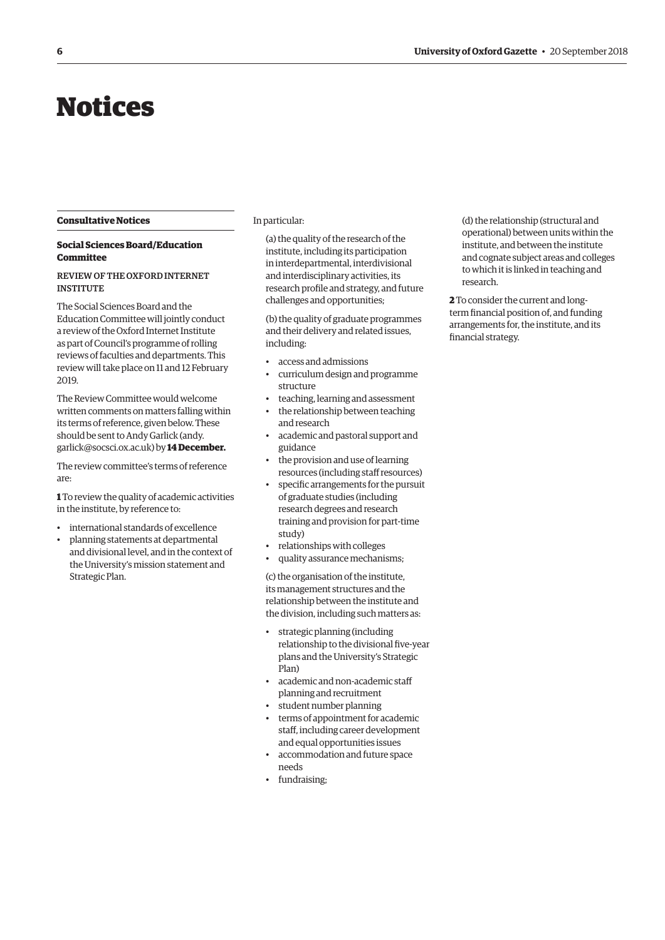# <span id="page-5-0"></span>Notices

#### **Consultative Notices**

#### **Social Sciences Board/Education Committee**

#### REVIEW OF THE OXFORD INTERNET INSTITUTE

The Social Sciences Board and the Education Committee will jointly conduct a review of the Oxford Internet Institute as part of Council's programme of rolling reviews of faculties and departments. This review will take place on 11 and 12 February 2019.

The Review Committee would welcome written comments on matters falling within its terms of reference, given below. These [should be sent to Andy Garlick \(andy.](mailto:andy.garlick@socsci.ox.ac.uk) garlick@socsci.ox.ac.uk) by **14 December.**

The review committee's terms of reference are:

**1** To review the quality of academic activities in the institute, by reference to:

- international standards of excellence
- planning statements at departmental and divisional level, and in the context of the University's mission statement and Strategic Plan.

In particular:

(a) the quality of the research of the institute, including its participation in interdepartmental, interdivisional and interdisciplinary activities, its research profile and strategy, and future challenges and opportunities;

(b) the quality of graduate programmes and their delivery and related issues, including:

- access and admissions
- curriculum design and programme structure
- teaching, learning and assessment
- the relationship between teaching and research
- academic and pastoral support and guidance
- the provision and use of learning resources (including staff resources)
- specific arrangements for the pursuit of graduate studies (including research degrees and research training and provision for part-time study)
- relationships with colleges
- quality assurance mechanisms;

(c) the organisation of the institute, its management structures and the relationship between the institute and the division, including such matters as:

- strategic planning (including relationship to the divisional five-year plans and the University's Strategic Plan)
- academic and non-academic staff planning and recruitment
- student number planning
- terms of appointment for academic staff, including career development and equal opportunities issues
- accommodation and future space needs
- fundraising;

(d) the relationship (structural and operational) between units within the institute, and between the institute and cognate subject areas and colleges to which it is linked in teaching and research.

**2** To consider the current and longterm financial position of, and funding arrangements for, the institute, and its financial strategy.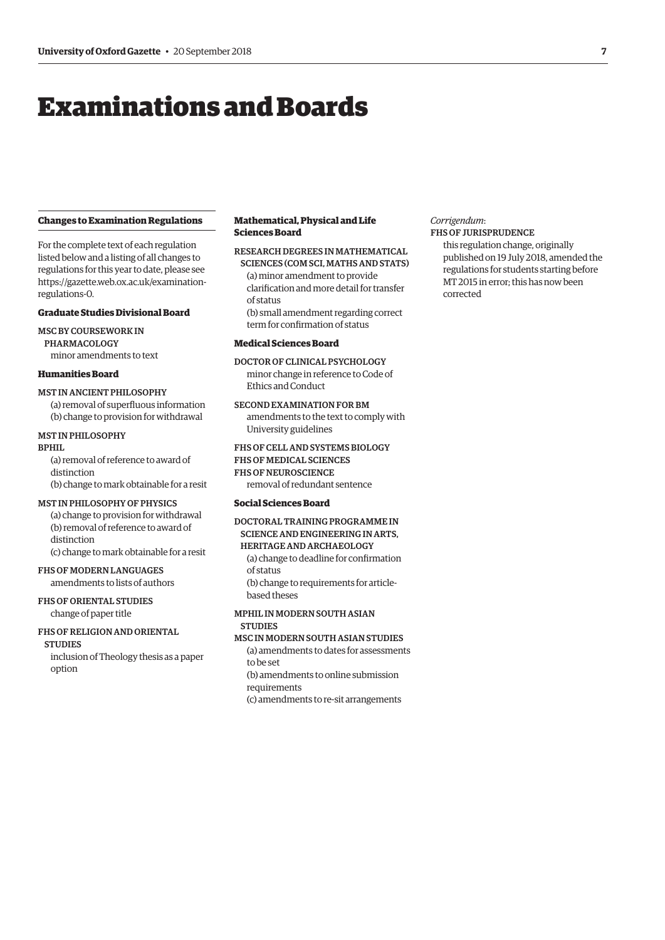# <span id="page-6-0"></span>Examinations and Boards

#### **Changes to Examination Regulations**

For the complete text of each regulation listed below and a listing of all changes to regulations for this year to date, please see [https://gazette.web.ox.ac.uk/examination](https://gazette.web.ox.ac.uk/examination-regulations-0)regulations-0.

#### **Graduate Studies Divisional Board**

MSC BY COURSEWORK IN PHARMACOLOGY minor amendments to text

#### **Humanities Board**

#### MST IN ANCIENT PHILOSOPHY

(a) removal of superfluous information (b) change to provision for withdrawal

#### MST IN PHILOSOPHY

#### BPHIL

(a) removal of reference to award of distinction (b) change to mark obtainable for a resit

#### MST IN PHILOSOPHY OF PHYSICS

(a) change to provision for withdrawal (b) removal of reference to award of distinction

(c) change to mark obtainable for a resit

#### FHS OF MODERN LANGUAGES amendments to lists of authors

FHS OF ORIENTAL STUDIES

### change of paper title

#### FHS OF RELIGION AND ORIENTAL

**STUDIES** inclusion of Theology thesis as a paper option

#### **Mathematical, Physical and Life Sciences Board**

#### RESEARCH DEGREES IN MATHEMATICAL

SCIENCES (COM SCI, MATHS AND STATS) (a) minor amendment to provide clarification and more detail for transfer of status

(b) small amendment regarding correct term for confirmation of status

#### **Medical Sciences Board**

#### DOCTOR OF CLINICAL PSYCHOLOGY

minor change in reference to Code of Ethics and Conduct

#### SECOND EXAMINATION FOR BM

amendments to the text to comply with University guidelines

#### FHS OF CELL AND SYSTEMS BIOLOGY FHS OF MEDICAL SCIENCES

## FHS OF NEUROSCIENCE

removal of redundant sentence

#### **Social Sciences Board**

#### DOCTORAL TRAINING PROGRAMME IN SCIENCE AND ENGINEERING IN ARTS, HERITAGE AND ARCHAEOLOGY

(a) change to deadline for confirmation of status (b) change to requirements for article-

based theses

#### MPHIL IN MODERN SOUTH ASIAN STUDIES

#### MSC IN MODERN SOUTH ASIAN STUDIES

(a) amendments to dates for assessments to be set

(b) amendments to online submission

requirements

(c) amendments to re-sit arrangements

#### *Corrigendum*:

#### FHS OF JURISPRUDENCE

this regulation change, originally published on 19 July 2018, amended the regulations for students starting before MT 2015 in error; this has now been corrected